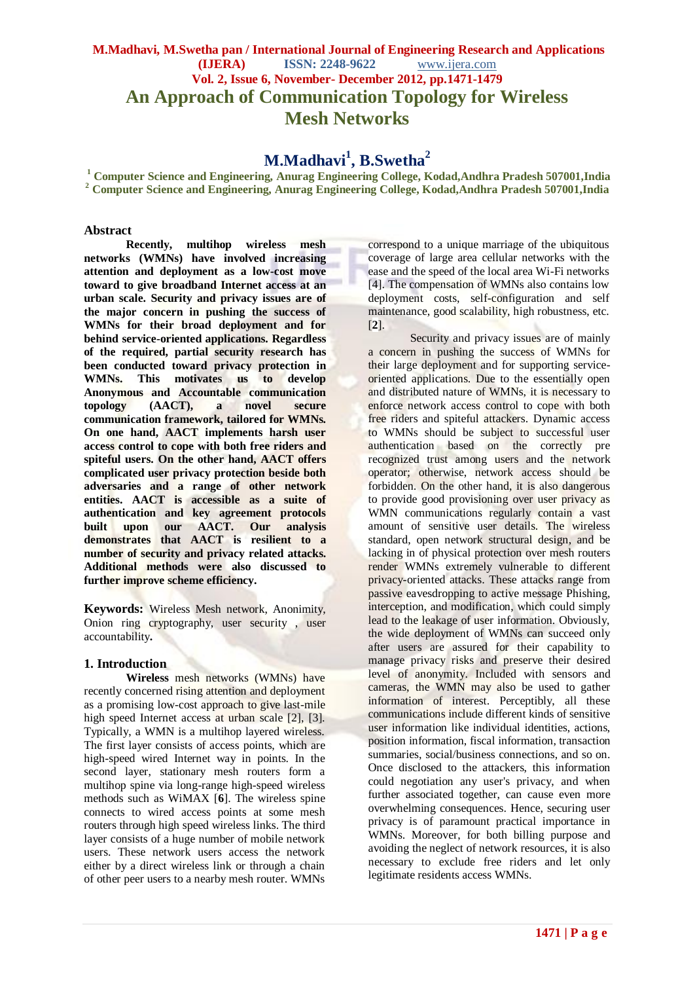## **M.Madhavi, M.Swetha pan / International Journal of Engineering Research and Applications (IJERA) ISSN: 2248-9622** www.ijera.com **Vol. 2, Issue 6, November- December 2012, pp.1471-1479 An Approach of Communication Topology for Wireless Mesh Networks**

# **M.Madhavi<sup>1</sup> , B.Swetha<sup>2</sup>**

**<sup>1</sup> Computer Science and Engineering, Anurag Engineering College, Kodad,Andhra Pradesh 507001,India <sup>2</sup> Computer Science and Engineering, Anurag Engineering College, Kodad,Andhra Pradesh 507001,India**

#### **Abstract**

**Recently, multihop wireless mesh networks (WMNs) have involved increasing attention and deployment as a low-cost move toward to give broadband Internet access at an urban scale. Security and privacy issues are of the major concern in pushing the success of WMNs for their broad deployment and for behind service-oriented applications. Regardless of the required, partial security research has been conducted toward privacy protection in WMNs. This motivates us to develop Anonymous and Accountable communication topology (AACT), a novel secure communication framework, tailored for WMNs. On one hand, AACT implements harsh user access control to cope with both free riders and spiteful users. On the other hand, AACT offers complicated user privacy protection beside both adversaries and a range of other network entities. AACT is accessible as a suite of authentication and key agreement protocols built upon our AACT. Our analysis demonstrates that AACT is resilient to a number of security and privacy related attacks. Additional methods were also discussed to further improve scheme efficiency.**

**Keywords:** Wireless Mesh network, Anonimity, Onion ring cryptography, user security , user accountability**.**

#### **1. Introduction**

**Wireless** mesh networks (WMNs) have recently concerned rising attention and deployment as a promising low-cost approach to give last-mile high speed Internet access at urban scale [2], [3]. Typically, a WMN is a multihop layered wireless. The first layer consists of access points, which are high-speed wired Internet way in points. In the second layer, stationary mesh routers form a multihop spine via long-range high-speed wireless methods such as WiMAX [**6**]. The wireless spine connects to wired access points at some mesh routers through high speed wireless links. The third layer consists of a huge number of mobile network users. These network users access the network either by a direct wireless link or through a chain of other peer users to a nearby mesh router. WMNs

correspond to a unique marriage of the ubiquitous coverage of large area cellular networks with the ease and the speed of the local area Wi-Fi networks [4]. The compensation of WMNs also contains low deployment costs, self-configuration and self maintenance, good scalability, high robustness, etc. [**2**].

Security and privacy issues are of mainly a concern in pushing the success of WMNs for their large deployment and for supporting serviceoriented applications. Due to the essentially open and distributed nature of WMNs, it is necessary to enforce network access control to cope with both free riders and spiteful attackers. Dynamic access to WMNs should be subject to successful user authentication based on the correctly pre recognized trust among users and the network operator; otherwise, network access should be forbidden. On the other hand, it is also dangerous to provide good provisioning over user privacy as WMN communications regularly contain a vast amount of sensitive user details. The wireless standard, open network structural design, and be lacking in of physical protection over mesh routers render WMNs extremely vulnerable to different privacy-oriented attacks. These attacks range from passive eavesdropping to active message Phishing, interception, and modification, which could simply lead to the leakage of user information. Obviously, the wide deployment of WMNs can succeed only after users are assured for their capability to manage privacy risks and preserve their desired level of anonymity. Included with sensors and cameras, the WMN may also be used to gather information of interest. Perceptibly, all these communications include different kinds of sensitive user information like individual identities, actions, position information, fiscal information, transaction summaries, social/business connections, and so on. Once disclosed to the attackers, this information could negotiation any user's privacy, and when further associated together, can cause even more overwhelming consequences. Hence, securing user privacy is of paramount practical importance in WMNs. Moreover, for both billing purpose and avoiding the neglect of network resources, it is also necessary to exclude free riders and let only legitimate residents access WMNs.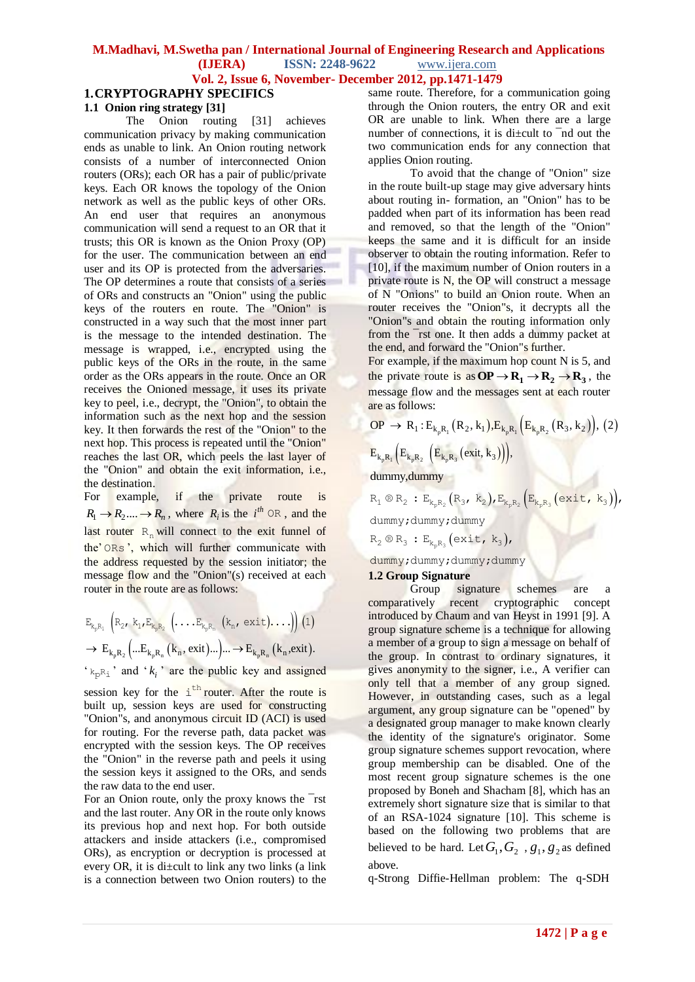#### **1.CRYPTOGRAPHY SPECIFICS 1.1 Onion ring strategy [31]**

The Onion routing [31] achieves communication privacy by making communication ends as unable to link. An Onion routing network consists of a number of interconnected Onion routers (ORs); each OR has a pair of public/private keys. Each OR knows the topology of the Onion network as well as the public keys of other ORs. An end user that requires an anonymous communication will send a request to an OR that it trusts; this OR is known as the Onion Proxy (OP) for the user. The communication between an end user and its OP is protected from the adversaries. The OP determines a route that consists of a series of ORs and constructs an "Onion" using the public keys of the routers en route. The "Onion" is constructed in a way such that the most inner part is the message to the intended destination. The message is wrapped, i.e., encrypted using the public keys of the ORs in the route, in the same order as the ORs appears in the route. Once an OR receives the Onioned message, it uses its private key to peel, i.e., decrypt, the "Onion", to obtain the information such as the next hop and the session key. It then forwards the rest of the "Onion" to the next hop. This process is repeated until the "Onion" reaches the last OR, which peels the last layer of the "Onion" and obtain the exit information, i.e., the destination.

For example, if the private route is  $R_1 \rightarrow R_2 \dots \rightarrow R_n$ , where  $R_i$  is the  $i^{th} \text{ OR }$ , and the last router  $R_n$  will connect to the exit funnel of the" ORs ", which will further communicate with the address requested by the session initiator; the message flow and the "Onion"(s) received at each router in the route are as follows:

$$
E_{k_p R_1} \left(R_{2\prime} k_1, E_{k_p R_2} \left( \ldots E_{k_p R_n} \left( k_n, \text{exit} \right) \ldots \right) \right) (1)
$$
  

$$
\rightarrow E_{k_p R_2} \left( \ldots E_{k_p R_n} \left( k_n, \text{exit} \right) \ldots \right) \ldots \rightarrow E_{k_p R_n} \left( k_n, \text{exit} \right).
$$

 $k_{\rm p}$ <sup>2</sup> and  $k_i$ <sup>2</sup> are the public key and assigned

session key for the  $i<sup>th</sup>$  router. After the route is built up, session keys are used for constructing "Onion"s, and anonymous circuit ID (ACI) is used for routing. For the reverse path, data packet was encrypted with the session keys. The OP receives the "Onion" in the reverse path and peels it using the session keys it assigned to the ORs, and sends the raw data to the end user.

For an Onion route, only the proxy knows the ¯rst and the last router. Any OR in the route only knows its previous hop and next hop. For both outside attackers and inside attackers (i.e., compromised ORs), as encryption or decryption is processed at every OR, it is di±cult to link any two links (a link is a connection between two Onion routers) to the same route. Therefore, for a communication going through the Onion routers, the entry OR and exit OR are unable to link. When there are a large number of connections, it is di±cult to ¯nd out the two communication ends for any connection that applies Onion routing.

To avoid that the change of "Onion" size in the route built-up stage may give adversary hints about routing in- formation, an "Onion" has to be padded when part of its information has been read and removed, so that the length of the "Onion" keeps the same and it is difficult for an inside observer to obtain the routing information. Refer to [10], if the maximum number of Onion routers in a private route is N, the OP will construct a message of N "Onions" to build an Onion route. When an router receives the "Onion"s, it decrypts all the "Onion"s and obtain the routing information only from the ¯rst one. It then adds a dummy packet at the end, and forward the "Onion"s further. For example, if the maximum hop count N is 5, and

the private route is as  $\overrightarrow{OP} \rightarrow \overrightarrow{R_1} \rightarrow \overrightarrow{R_2} \rightarrow \overrightarrow{R_3}$ , the message flow and the messages sent at each router are as follows:

are as follows:  
\n
$$
OP \rightarrow R_1: E_{k_p R_1}(R_2, k_1).E_{k_p R_1}(E_{k_p R_2}(R_3, k_2)), (2)
$$

$$
\frac{E_{k_pR_1}\Big(E_{k_pR_2}\,\Big(E_{k_pR_3}\big(exit,k_3\big)\Big)\Big)}{\text{dummy,dummy}},
$$

dummy, dummy<br>  $R_1 \otimes R_2 : E_{k_p R_2} (R_3, k_2)$ ,  $E_{k_p R_2} (E_{k_p R_3} (exit, k_3))$ , dummy;dummy;dummy

dummy;dummy;dummy<br>R<sub>2</sub> ® R<sub>3</sub> : E<sub>k<sub>p</sub>R<sub>3</sub></sub> (exit, k<sub>3</sub>),

dummy;dummy;dummy;dummy

#### **1.2 Group Signature**

Group signature schemes are a comparatively recent cryptographic concept introduced by Chaum and van Heyst in 1991 [9]. A group signature scheme is a technique for allowing a member of a group to sign a message on behalf of the group. In contrast to ordinary signatures, it gives anonymity to the signer, i.e., A verifier can only tell that a member of any group signed. However, in outstanding cases, such as a legal argument, any group signature can be "opened" by a designated group manager to make known clearly the identity of the signature's originator. Some group signature schemes support revocation, where group membership can be disabled. One of the most recent group signature schemes is the one proposed by Boneh and Shacham [8], which has an extremely short signature size that is similar to that of an RSA-1024 signature [10]. This scheme is based on the following two problems that are believed to be hard. Let  $G_1, G_2, g_1, g_2$  as defined above.

q-Strong Diffie-Hellman problem: The q-SDH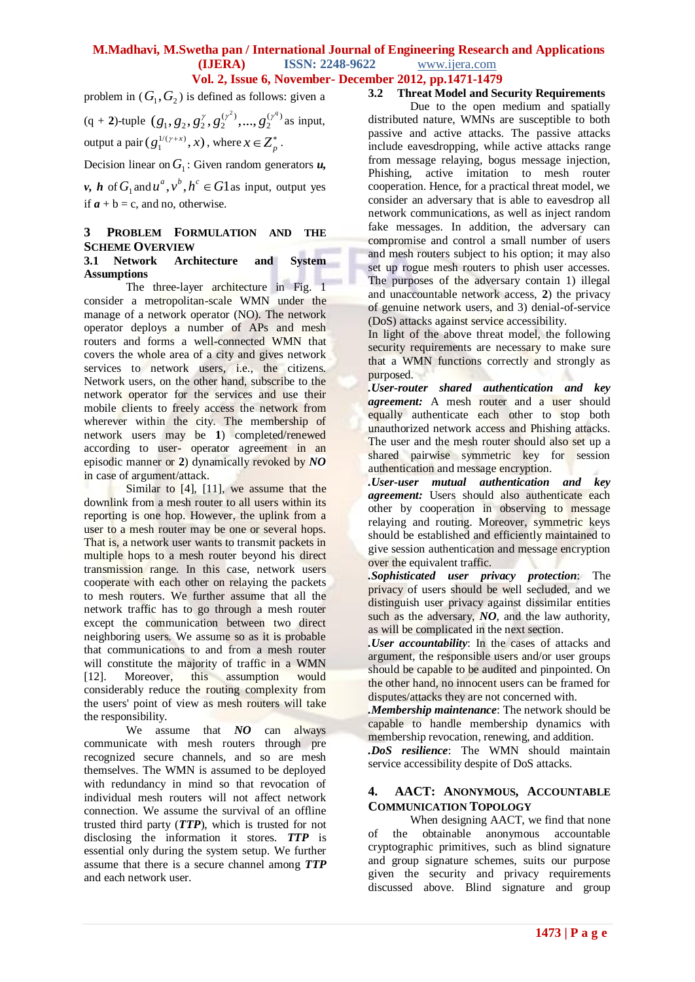problem in  $(G_1, G_2)$  is defined as follows: given a

$$
\begin{aligned} &(q+2)\text{-tuple } (g_1, g_2, g_2^{\gamma}, g_2^{(\gamma^2)}, \dots, g_2^{(\gamma^q)} \text{ as input,} \\ &\text{output a pair } (g_1^{1/(\gamma+x)}, x), \text{ where } x \in \mathbb{Z}_p^* \,. \end{aligned}
$$

Decision linear on  $G_1$ : Given random generators  $u$ ,

*v*, *h* of  $G_1$  and  $u^a$ ,  $v^b$ ,  $h^c \in G1$  as input, output yes if  $a + b = c$ , and no, otherwise.

#### **3 PROBLEM FORMULATION AND THE SCHEME OVERVIEW**

#### **3.1 Network Architecture and System Assumptions**

The three-layer architecture in Fig. 1 consider a metropolitan-scale WMN under the manage of a network operator (NO). The network operator deploys a number of APs and mesh routers and forms a well-connected WMN that covers the whole area of a city and gives network services to network users, i.e., the citizens. Network users, on the other hand, subscribe to the network operator for the services and use their mobile clients to freely access the network from wherever within the city. The membership of network users may be **1**) completed/renewed according to user- operator agreement in an episodic manner or **2**) dynamically revoked by *NO* in case of argument/attack.

Similar to [4], [11], we assume that the downlink from a mesh router to all users within its reporting is one hop. However, the uplink from a user to a mesh router may be one or several hops. That is, a network user wants to transmit packets in multiple hops to a mesh router beyond his direct transmission range. In this case, network users cooperate with each other on relaying the packets to mesh routers. We further assume that all the network traffic has to go through a mesh router except the communication between two direct neighboring users. We assume so as it is probable that communications to and from a mesh router will constitute the majority of traffic in a WMN [12]. Moreover, this assumption would considerably reduce the routing complexity from the users' point of view as mesh routers will take the responsibility.

We assume that *NO* can always communicate with mesh routers through pre recognized secure channels, and so are mesh themselves. The WMN is assumed to be deployed with redundancy in mind so that revocation of individual mesh routers will not affect network connection. We assume the survival of an offline trusted third party (*TTP*), which is trusted for not disclosing the information it stores. *TTP* is essential only during the system setup. We further assume that there is a secure channel among *TTP*  and each network user.

#### **3.2 Threat Model and Security Requirements**

Due to the open medium and spatially distributed nature, WMNs are susceptible to both passive and active attacks. The passive attacks include eavesdropping, while active attacks range from message relaying, bogus message injection, Phishing, active imitation to mesh router cooperation. Hence, for a practical threat model, we consider an adversary that is able to eavesdrop all network communications, as well as inject random fake messages. In addition, the adversary can compromise and control a small number of users and mesh routers subject to his option; it may also set up rogue mesh routers to phish user accesses. The purposes of the adversary contain 1) illegal and unaccountable network access, **2**) the privacy of genuine network users, and 3) denial-of-service (DoS) attacks against service accessibility.

In light of the above threat model, the following security requirements are necessary to make sure that a WMN functions correctly and strongly as purposed.

*.User-router shared authentication and key agreement:* A mesh router and a user should equally authenticate each other to stop both unauthorized network access and Phishing attacks. The user and the mesh router should also set up a shared pairwise symmetric key for session authentication and message encryption.

*.User-user mutual authentication and key agreement:* Users should also authenticate each other by cooperation in observing to message relaying and routing. Moreover, symmetric keys should be established and efficiently maintained to give session authentication and message encryption over the equivalent traffic.

*.Sophisticated user privacy protection*: The privacy of users should be well secluded, and we distinguish user privacy against dissimilar entities such as the adversary, *NO*, and the law authority, as will be complicated in the next section.

*.User accountability*: In the cases of attacks and argument, the responsible users and/or user groups should be capable to be audited and pinpointed. On the other hand, no innocent users can be framed for disputes/attacks they are not concerned with.

*.Membership maintenance*: The network should be capable to handle membership dynamics with membership revocation, renewing, and addition.

*.DoS resilience*: The WMN should maintain service accessibility despite of DoS attacks.

#### **4. AACT: ANONYMOUS, ACCOUNTABLE COMMUNICATION TOPOLOGY**

When designing AACT, we find that none of the obtainable anonymous accountable cryptographic primitives, such as blind signature and group signature schemes, suits our purpose given the security and privacy requirements discussed above. Blind signature and group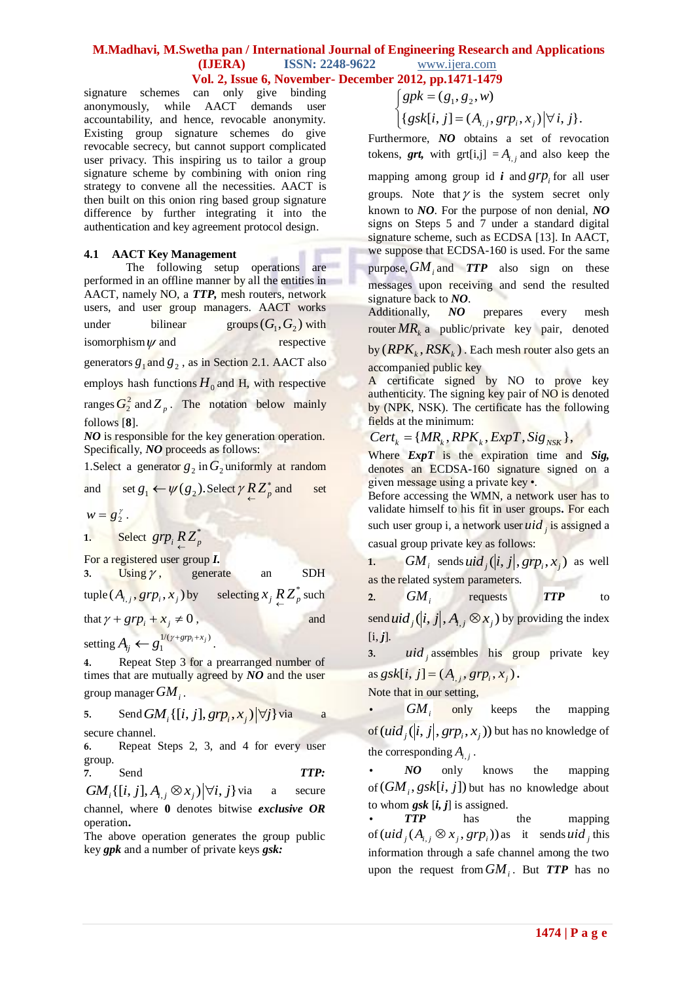### **M.Madhavi, M.Swetha pan / International Journal of Engineering Research and Applications (IJERA) ISSN: 2248-9622** www.ijera.com

# **Vol. 2, Issue 6, November- December 2012, pp.1471-1479**<br>
can only give binding  $\begin{cases} gpk = (g_1, g_2, w) \end{cases}$

signature schemes can only give binding anonymously, while AACT demands user accountability, and hence, revocable anonymity. Existing group signature schemes do give revocable secrecy, but cannot support complicated user privacy. This inspiring us to tailor a group signature scheme by combining with onion ring strategy to convene all the necessities. AACT is then built on this onion ring based group signature difference by further integrating it into the authentication and key agreement protocol design.

#### **4.1 AACT Key Management**

The following setup operations are performed in an offline manner by all the entities in AACT, namely NO, a *TTP,* mesh routers, network users, and user group managers. AACT works under bilinear  $(G_1, G_2)$  with isomorphism $\psi$ respective

generators  $g_1$  and  $g_2$ , as in Section 2.1. AACT also

employs hash functions  $H_0$  and H, with respective

ranges  $G_2^2$  and  $Z_p$ . The notation below mainly follows [**8**].

*NO* is responsible for the key generation operation. Specifically, *NO* proceeds as follows:

1. Select a generator  $g_2$  in  $G_2$  uniformly at random

and set 
$$
g_1 \leftarrow \psi(g_2)
$$
. Select  $\gamma R Z_p^*$  and set

$$
w=g_2^{\gamma}.
$$

**1.** Select  $\text{grp}_i R Z_p^*$ 

For a registered user group *I.*

3. Using  $\gamma$ , generate an SDH

 $\text{tuple } (A_{i,j}, grp_i, x_j) \text{ by } \text{ selecting } x_j \underset{\leftarrow}{R} \underset{\leftarrow}{Z_p^*} \text{ such }$ 

and

that  $\gamma + g r p_i + x_j \neq 0$ 

setting  $A_{ii} \leftarrow g_1^{1/(\gamma + gr_{i} + x_j)}$  $A_{ij} \leftarrow g_1^{\frac{1}{\gamma}(\gamma + gr_{i} + x_j)}.$ 

**4.** Repeat Step 3 for a prearranged number of times that are mutually agreed by *NO* and the user group manager *GM<sup>i</sup>* .

5. Send 
$$
GM_i\{[i, j], grp_i, x_j)|\forall j\}
$$
 via a  
secure channel.

**6.** Repeat Steps 2, 3, and 4 for every user group.

**7.** Send *TTP:*

 $GM_i\{[i, j], A_{i,j} \otimes x_j\}\forall i, j\}$ secure channel, where **0** denotes bitwise *exclusive OR* operation**.**

The above operation generates the group public key *gpk* and a number of private keys *gsk:*

$$
\begin{cases} gpk = (g_1, g_2, w) \\ \text{f } gpk = (1 - (1 - \alpha)) \end{cases}
$$

$$
\begin{cases} \mathcal{B}P^k - (g_1, g_2, w) \\ \{\mathcal{B}^{sk}[i, j] = (A_{i,j}, \mathcal{B}^T P_i, x_j) \, | \, \forall \, i, j \}. \end{cases}
$$

Furthermore, *NO* obtains a set of revocation tokens, *grt*, with grt[i,j] =  $A_{i,j}$  and also keep the

mapping among group id *i* and  $grp$  for all user groups. Note that  $\gamma$  is the system secret only known to *NO*. For the purpose of non denial, *NO* signs on Steps 5 and 7 under a standard digital signature scheme, such as ECDSA [13]. In AACT, we suppose that ECDSA-160 is used. For the same purpose, *GM<sup>i</sup>* and *TTP* also sign on these messages upon receiving and send the resulted signature back to *NO*.

Additionally, *NO* prepares every mesh router *MR<sup>k</sup>* a public/private key pair, denoted

 $by (RPK_k, RSK_k)$ . Each mesh router also gets an accompanied public key

A certificate signed by NO to prove key authenticity. The signing key pair of NO is denoted by (NPK, NSK). The certificate has the following fields at the minimum:

 ${ \begin{aligned} \text{fields at the minimum:} \ \text{Cert}_k &= \{MR_k, RPK_k, ExpT, Sig_{NSK}\}, \end{aligned}}$ 

Where *ExpT* is the expiration time and *Sig,* denotes an ECDSA-160 signature signed on a given message using a private key •.

Before accessing the WMN, a network user has to validate himself to his fit in user groups**.** For each such user group i, a network user *uid <sup>j</sup>* is assigned a

casual group private key as follows:

**1.**  $GM_i$  sends  $uid_j(|i, j|, grp_i, x_j)$  as well as the related system parameters.

**2.** *GM<sup>i</sup>* requests *TTP* to  $\frac{\partial}{\partial u} \left\{ \int_{i}^{i} |i,j|, A_{i,j} \otimes x_{j} \right\}$  by providing the index

 $[i, j]$ .

**3.** *uid <sup>j</sup>* assembles his group private key  $\text{as } g s k[i, j] = (A_{i,j}, g r p_i, x_j).$ 

Note that in our setting,

 $|GM_{\odot}|$ only keeps the mapping of  $(\mathop{\mathit{uid}}\nolimits_j(|i,j|,pr_{p_i},x_j))$  but has no knowledge of the corresponding  $A_{i,j}$ .

**•** *NO* only knows the mapping of  $(GM_i, gsk[i, j])$  but has no knowledge about to whom  $g$ sk  $[i, j]$  is assigned.

*TTP* has the mapping of  $(uid_j(A_{i,j} \otimes x_j, grp_i))$  as it sends  $uid_j$  this information through a safe channel among the two upon the request from *GM<sup>i</sup>* . But *TTP* has no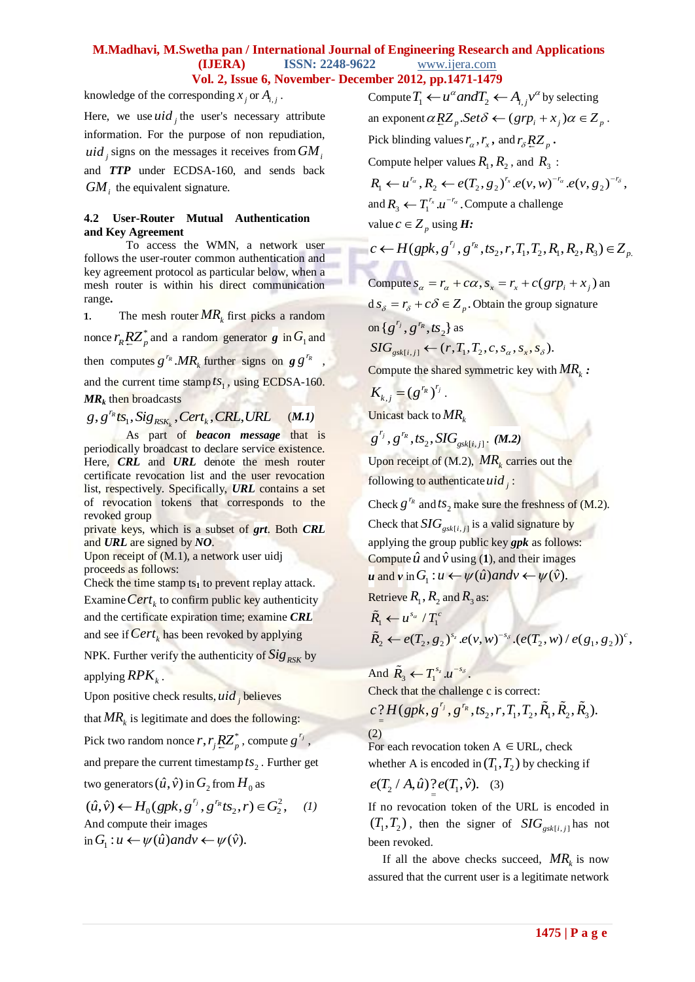knowledge of the corresponding  $x_j$  or  $A_{i,j}$ .

Here, we use  $uid_j$  the user's necessary attribute information. For the purpose of non repudiation, *uid <sup>j</sup>* signs on the messages it receives from *GM<sup>i</sup>* and *TTP* under ECDSA-160, and sends back  $GM<sub>i</sub>$  the equivalent signature.

#### **4.2 User-Router Mutual Authentication and Key Agreement**

To access the WMN, a network user follows the user-router common authentication and key agreement protocol as particular below, when a mesh router is within his direct communication range**.**

**1.** The mesh router  $MR_k$  first picks a random nonce  $r_R R Z_p^*$  and a random generator *g* in  $G_1$  and then computes  $g^{r_R} M R_k$  further signs on  $g g^{r_R}$ ,

and the current time stamp  $ts_1$ , using ECDSA-160. *MR<sup>k</sup>* then broadcasts

 $\mathcal{R}_k$  then broadcasts<br>,  $g^{\frac{r_k}{k}}$ ts<sub>1</sub>, Sig<sub>RSK<sub>k</sub></sub>, Cert<sub>k</sub>, CRL, *R k r*  $\mathbf{wR}_k$  then broadcasts<br>*g* , *g*<sup>*r<sub>k</sub>*  $\mathbf{r_s}$  *fs*<sub>*RSK<sub>k</sub>*</sub> , *Cert<sub>k</sub>* , *CRL*, *URL*</sup>  $(M.1)$ 

As part of *beacon message* that is periodically broadcast to declare service existence. Here, *CRL* and *URL* denote the mesh router certificate revocation list and the user revocation list, respectively. Specifically, *URL* contains a set of revocation tokens that corresponds to the revoked group

private keys, which is a subset of *grt*. Both *CRL*  and *URL* are signed by *NO*.

Upon receipt of (M.1), a network user uidj proceeds as follows:

Check the time stamp  $ts<sub>1</sub>$  to prevent replay attack. Examine *Cert<sub>k</sub>* to confirm public key authenticity and the certificate expiration time; examine *CRL* and see if *Cert<sup>k</sup>* has been revoked by applying

NPK. Further verify the authenticity of *RSK Sig* by applying *RPK<sup>k</sup>* .

Upon positive check results, *uid <sup>j</sup>* believes

that  $MR_k$  is legitimate and does the following:

Pick two random nonce  $r, r_j \underline{R} \underline{Z}_p^*$ , compute  $g^{r_j}$ ,

and prepare the current timestamp  $ts_2$ . Further get two generators  $(\hat{u}, \hat{v})$  in  $G_2$  from  $H_0$  as

2 two generators  $(u, v)$  in  $G_2$  from  $H_0$  as<br>  $(\hat{u}, \hat{v}) \leftarrow H_0(gpk, g^{r_j}, g^{r_k}ts_2, r) \in G_2^2$ ,  $r_j$   $\sigma$ *<sup>r</sup>R</sup> vo* generators  $(u, v)$  in  $G_2$  from  $H_0$  as<br>  $\hat{u}, \hat{v}$   $\leftrightarrow$   $H_0(gpk, g^{r_j}, g^{r_k}ts_2, r) \in G_2^2$ , (1) And compute their images And compute their images<br>in  $G_1: u \leftarrow \psi(\hat{u})$  and  $v \leftarrow \psi(\hat{v})$ .

Compute  $T_1 \leftarrow u^{\alpha}$  and  $T_2 \leftarrow A_{i,j} v^{\alpha}$  by selecting compute  $I_1 \leftarrow u$  ana $I_2 \leftarrow A_{i,j}$  by selecting<br>an exponent  $\alpha RZ_p$ . Set  $\delta \leftarrow (grp_i + x_j)\alpha \in Z_p$ . Pick blinding values  $r_\alpha$ ,  $r_x$ , and  $r_\delta R Z_p$ . Compute helper values  $R_1, R_2$ , and  $R_3$ : Compute helper values  $R_1, R_2$ , and  $R_3$ :<br>  $R_1 \leftarrow u^{r_\alpha}, R_2 \leftarrow e(T_2, g_2)^{r_x} . e(v, w)^{-r_\alpha} . e(v, g_2)^{-r_\delta}$ , and  $R_3 \leftarrow T_1^{r_x} \cdot u^{-r_a}$ . Compute a challenge value  $c \in Z_p$  using **H**:  $\equiv Z_p$  using  $H$ :<br>(gpk,  $g^{r_j}$ ,  $g^{r_R}$ , ts<sub>2</sub>, r,  $T_1$ ,  $T_2$ ,  $R_1$ ,  $R_2$ ,  $R_3$ )  $\in Z_p$ .  $r_j \sim r$ *p c* ← *H*(*gpk*, *g*<sup>*r*<sub>*j*</sub></sup>, *g*<sup>*r*<sub>*k*</sup></sub>, *ts*<sub>2</sub>, *r*, *T*<sub>1</sub>, *T*<sub>2</sub>, *R*<sub>1</sub>, *R*<sub>2</sub>, *R*<sub>3</sub>) ∈ *Z*<sub>*p*.</sub></sup>

Compute 
$$
s_{\alpha} = r_{\alpha} + c\alpha
$$
,  $s_x = r_x + c(grp_i + x_j)$  an

 $d s_{\delta} = r_{\delta} + c \delta \in Z_p$ . Obtain the group signature

on  $\{g^{r_j}, g^{r_R}, t s_2\}$  as  $\overline{SIG}_{gsk[i,j]} \leftarrow (r, T_1, T_2, c, s_\alpha, s_\alpha, s_\alpha)$ .

Compute the shared symmetric key with *MR<sup>k</sup> :*

 $K_{k,j} = (g^{r_R})^{r_j}$ . Unicast back to *MR<sup>k</sup>*

$$
g^{r_j}
$$
,  $g^{r_R}$ ,  $ts_2$ ,  $SIG_{gsk[i,j]}$ . (M.2)

Upon receipt of  $(M.2)$ ,  $MR_k$  carries out the following to authenticate  $uid_j$ :

Check  $g^{r_R}$  and  $ts_2$  make sure the freshness of (M.2).

Check that  $SIG_{gsk[i,j]}$  is a valid signature by applying the group public key *gpk* as follows: Compute  $\hat{u}$  and  $\hat{v}$  using (1), and their images Compute *u* and *v* using (1), and their images<br>  $u$  and *v* in  $G_1 : u \leftarrow \psi(\hat{u})$  and  $v \leftarrow \psi(\hat{v})$ .

Retrieve  $R_1$ ,  $R_2$  and  $R_3$  as:

$$
\tilde{R}_1 \leftarrow u^{s_a} / T_1^c
$$
\n
$$
\tilde{R}_2 \leftarrow e(T_2, g_2)^{s_z} . e(\nu, w)^{-s_\delta} . (e(T_2, w) / e(g_1, g_2))^c,
$$

And  $\tilde{R}_3 \leftarrow T_1^{s_z} . u^{-s_\delta}$ .

Check that the challenge c is correct:  
\n
$$
c^2 H(gpk, g^{r_j}, g^{r_k}, ts_2, r, T_1, T_2, \tilde{R}_1, \tilde{R}_2, \tilde{R}_3).
$$
\n(2)

For each revocation token  $A \in \text{URL}$ , check whether A is encoded in  $(T_1, T_2)$  by checking if

 $e(T_2 / A, \hat{u}) \frac{?}{=} e(T_1, \hat{v}).$  (3)

If no revocation token of the URL is encoded in  $(T_1, T_2)$ , then the signer of  $SIG_{gsk[i,j]}$  has not been revoked.

If all the above checks succeed,  $MR_k$  is now assured that the current user is a legitimate network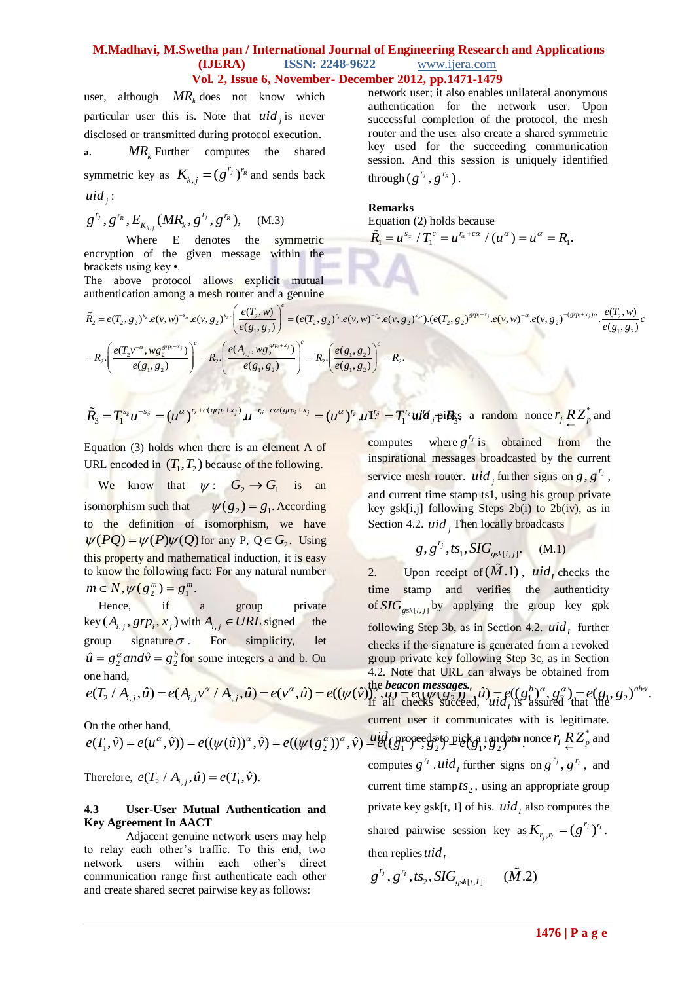user, although  $MR_k$  does not know which particular user this is. Note that  $uid_j$  is never disclosed or transmitted during protocol execution. **a.** *MR<sup>k</sup>* Further computes the shared symmetric key as  $K_{k,j} = (g^{r_j})^{r_R}$  and sends back

 $uid_j$ :

 $\int\limits_{\mathcal{B}}^{\mathit{r}_{R}},\mathit{g}^{\mathit{r}_{R}},\mathit{E}_{K_{k,j}}(MR_{k},g^{\mathit{r}_{j}},g^{\mathit{r}_{R}}),$  $g^{r_j}, g^{r_R}, E_{K_{k,j}}(MR_k, g^{r_j}, g^{r_R}),$  (M.3)

Where E denotes the symmetric encryption of the given message within the brackets using key •. The above protocol allows explicit mutual

authentication among a mesh router and a genuine

network user; it also enables unilateral anonymous authentication for the network user. Upon successful completion of the protocol, the mesh router and the user also create a shared symmetric key used for the succeeding communication session. And this session is uniquely identified  $\text{through} (g^{r_j}, g^{r_R})$ .

#### **Remarks** Equation

Equation (2) holds because  
\n
$$
\widetilde{R}_1 = u^{s_\alpha} / T_1^c = u^{r_\alpha + c\alpha} / (u^\alpha) = u^\alpha = R_1.
$$

thentication among a mesh router and a genuine<br>  $\lim_{z_2 = e(T_2, g_2)^{s_2} \cdot e(v, w)^{-s_a} \cdot e(v, g_2)^{s_b}} = (e(T_2, g_2)^{r_2} \cdot e(v, w)^{-r_a} \cdot e(v, g_2)^{s_b}) \cdot (e(T_2, g_2)^{g(p_1+x)} \cdot e(v, w)^{-a} \cdot e(v, g_2)^{-(g(p_1+x_1)a} \cdot \frac{e(T_2, w_2)^{r_a} \cdot e(T_2, w_2)^{s_b}}{e(g_1$  $= e(T_2, g_2)^{s_2} . e(v, w)^{-s_\alpha} . e(v, g_2)$ <br>  $= e(T_2 v^{-\alpha}, w g_2^{grp_1+x_j}) \left( \frac{e(T_2 v^{-\alpha}, w g_2^{grp_1+x_j})}{e(g_1, g_2)} \right)^c = R_2$ where E denotes the symmetric  $\mathbf{A}_1 = \mathbf{a}^T + \mathbf{A}_1 = \mathbf{a}^T + (\mathbf{a}^T) = \mathbf{a}^T - \mathbf{A}_1$ .<br>
Solve the given message within the<br>
distusing key •.<br>
above protocol allows explicit mutual<br>
dication among a mesh router and above protocol allows explicit mutual<br>
entication among a mesh router and a genuine<br>  $e(T_2, g_2)^{s_2} . e(\nu, w)^{-s_a} . e(\nu, g_2)^{s_b} . \left(\frac{e(T_2, w)}{e(g_1, g_2)}\right)^c = (e(T_2, g_2)^{r_2} . e(\nu, w)^{-r_a} . e(\nu, g_2)^{s_b} . (e(T_2, g_2)^{g(p_1 + x)} . e(\nu, w)^{-a} .$ *v*)<br><sup>*i*+x<sub>j</sub></sup> *c* protocol allows explicit mutual<br> *n* among a mesh router and a genuine<br>  $s_z e(v, w)^{-s_a} e(v, g_2)^{s_b} \left( \frac{e(T_2, w)}{e(a_2, a_1)} \right)^e = (e(T_2, g_2)^{r_z} e(v, w)^{-r_a} e(v, g_2)^{s_b} \cdot (e(T_2, g_2)^{g(p_1+x)} e(v, w)^{-a} e(v, g_2)^{-(g(p_1+x))} e(v, w)^{-(g(p_2+x))}$  $(v, w)^{-s_{\alpha}}$ .e<br>  $\left(\frac{grp_i + x_j}{2}\right)^c$ **EXECUTE:** The dove protocol allows explicit mutual<br>
The above protocol allows explicit mutual<br>  $\tilde{R}_2 = e(T_2, g_2)^{s_2} \cdot e(v, w)^{-s_a} e(v, g_2)^{s_b} \cdot \left( \frac{e(T_2, w)}{e(g_1, g_2)} \right)^c = (e(T_2, g_2)^{r_2} \cdot e(v, w)^{-r_a} e(v, g_2)^{s_b} \cdot \cdot (e(T_2, g_2$ Where E denotes the symmetric  $R_1 = u^{\alpha} / I_1 = u^{\alpha} / (u^{\alpha}) = u^{\alpha} = R_1$ .<br>
cryption of the given message within the<br>
ackets using key •.<br>
denote protocol allows explicit mutual<br>
thentication among a mesh router and a genuine<br>  $-\alpha$   $\cos \frac{grp_i + \alpha}{2}$ The above protocol allows explicit r<br>authentication among a mesh router and a ge<br> $\tilde{R}_2 = e(T_2, g_2)^{s_c} \cdot e(v, w)^{-s_a} \cdot e(v, g_2)^{s_b} \cdot \left(\frac{e(T_2, w)}{e(g_1, g_2)}\right)^c =$ <br> $= R_2 \cdot \left(\frac{e(T_2 v^{-\alpha}, w g_2^{grp_1+x_j})}{e(g_1, g_2)}\right)^c = R_2 \cdot \left(\frac{e(A_{i,j$ The above protocol allows explicit mutual<br>
uthentication among a mesh router and a genuine<br>  $\tilde{R}_2 = e(T_2, g_2)^{s_c} e(v, w)^{-s_a} e(v, g_2)^{s_b} \left( \frac{e(T_2, w)}{e(g_1, g_2)} \right)^c = (e(T_2, g_2)^{r_c} e(v, w)^{-r_a} e(v, g_2)^c \right)$ <br>  $= R_2 \left( \frac{e(T_2 v^{-\alpha}, w g$  $\left(\frac{\partial}{\partial y}\right)^c = (e(T_2, g_2)^{r_2}.e(y, w)^{-r_a}$ <br>  $\left(\frac{g(p_1 + x_j)}{2}\right)^c = p \left(e(g_1, g_2)\right)^c$ *i e g and a genuine<br> i*  $e^{s_s} \left( \frac{e(T_2, w)}{e(g_1, g_2)} \right)^c = (e(T_2, g_2)^{r_s} . e(v, w)^{-r_a} . e(v, g_2)^{s_s}).(e(T_2, g_2)^{g/p}$ *<br>*  $\left( \frac{e(A_{i,j}, wg_2^{g/p_1+x_j})}{e(g_1, g_2)} \right)^c = R_2 \cdot \left( \frac{e(g_1, g_2)}{e(g_1, g_2)} \right)^c = R_2.$ ÷.

$$
= R_2 \cdot \left( \frac{e(T_2 v^{-\alpha}, w g_2^{sp_1+x_2})}{e(g_1, g_2)} \right)^c = R_2 \cdot \left( \frac{e(A_{i,j}, w g_2^{sp_1+x_2})}{e(g_1, g_2)} \right)^c = R_2 \cdot \left( \frac{e(g_1, g_2)}{e(g_1, g_2)} \right)^c = R_2.
$$

$$
e(g_1, g_2) \qquad (e(g_1, g_2) \qquad (e(g_1, g_2))
$$
  

$$
\tilde{R}_3 = T_1^{s_z} u^{-s_\delta} = (u^\alpha)^{r_z + c(grp_i + x_j)} u^{-r_\delta - c\alpha(grp_i + x_j)} = (u^\alpha)^{r_z} u^{r_\delta} = T_1^{r_z} u^{r_\delta} = \text{gradom, none } r_j R Z^*_{\epsilon} \text{ and }
$$

Equation (3) holds when there is an element A of URL encoded in  $(T_1, T_2)$  because of the following.

We know that  $\psi: G_2 \to G_1$  is an isomorphism such that  $\psi(g_2) = g_1$ . According to the definition of isomorphism, we have  $\psi(PQ) = \psi(P)\psi(Q)$  for any P,  $Q \in G_2$ . Using this property and mathematical induction, it is easy to know the following fact: For any natural number  $m \in N, \psi(g_2^m) = g_1^m$ .

Hence, if a group private  $key (A_{i,j}, grp_i, x_j)$  with  $A_{i,j} \in URL$  signed the group signature  $\sigma$ . For simplicity, let  $\hat{u} = g_2^{\alpha}$  *and*  $\hat{v} = g_2^b$  for some integers a and b. On one hand,

$$
e(T_2 / A_{i,j}, u) = e(A_{i,j})
$$

On the other hand,

$$
e(T_1, \hat{v}) = e(u^{\alpha}, \hat{v})) = e((\psi(\hat{u}))^{\alpha}, \hat{v}) = e((\psi(g_2^{\alpha}))^{\alpha}, \hat{v}) = \mathcal{U}(g_1^{\text{proceed to p}}) \mathcal{V}
$$

Therefore,  $e(T_2 / A_{i,j}, \hat{u}) = e(T_1, \hat{v})$ .

#### **4.3 User-User Mutual Authentication and Key Agreement In AACT**

Adjacent genuine network users may help to relay each other"s traffic. To this end, two network users within each other"s direct communication range first authenticate each other and create shared secret pairwise key as follows:

computes where  $g^{r_j}$  is obtained from the inspirational messages broadcasted by the current service mesh router. *uid* further signs on  $g$ ,  $g'$ , and current time stamp ts1, using his group private key gsk[i,j] following Steps 2b(i) to 2b(iv), as in Section 4.2. *uid j* Then locally broadcasts

$$
g, g^{r_j}, ts_1, SIG_{gsk[i,j]}.\qquad (M.1)
$$

ey  $(A_{i,j}, grp_i, x_j)$  with  $A_{i,j} \in URL$  signed the<br>
coup signature  $\sigma$ . For simplicity, let checks if the signature is generated from a revoked<br>
if  $g_2^{\alpha}$  and  $\hat{v} = g_2^{\beta}$  for some integers a and b. On<br>
ne hand,<br>  $(T_2 / A_{$ ature is generated from a revoked<br> *b* following Step 3c, as in Section<br>
RL can always be obtained from<br> *ges.*<br>  $\hat{f}^{B}_{\text{max}}(\hat{u}) = e((g_0^b)^\alpha, g_0^\alpha) = e(g_1, g_2)^\text{ab}$ *i j i j i j e T A u e A v A u e v u e v u e g u e g g e g g* 2. Upon receipt of  $(\tilde{M}$ .1), *uid<sub>i</sub>* checks the time stamp and verifies the authenticity of  $\frac{S}{G}$ <sub>gsk[i,j]</sub> by applying the group key gpk following Step 3b, as in Section 4.2.  $uid_i$  further checks if the signature is generated from a revoked group private key following Step 3c, as in Section 4.2. Note that URL can always be obtained from

If all checks succeed,  $\overline{uid}_I$  is assured that the

 $e(T_2 / A_{i,j}, \hat{u}) = e(A_{i,j}v^{\alpha} / A_{i,j}, \hat{u}) = e(v^{\alpha}, \hat{u}) = e((\psi(\hat{v}))_1^{\alpha}, \mu) = e(\psi(\hat{g}_i))_1^{\alpha}, \hat{u}) = e((g_1^b)^{\alpha}, g_2^b)$ <br>
On the other hand,<br>  $e(T_1, \hat{v}) = e(u^{\alpha}, \hat{v})) = e((\psi(\hat{u}))^{\alpha}, \hat{v}) = e((\psi(g_2^{\alpha}))^{\alpha}, \hat{v}) = \frac{\mu}{\ell}((g_1^{\text{proceeds}} \text{tp$ current user it communicates with is legitimate. *uid* proceeds to pick a random nonce  $r_I R Z_p^*$  and  $S_1$  and  $S_2$ computes  $g^{r_i}$  *auid<sub>i</sub>* further signs on  $g^{r_j}$ ,  $g^{r_i}$ , and current time stamp  $ts_2$ , using an appropriate group private key gsk[t, I] of his.  $uid<sub>l</sub>$  also computes the shared pairwise session key as  $K_{r_j, r_l} = (g^{r_j})^{r_l}$ . then replies  $uid_i$ 

$$
g^{r_j}, g^{r_l}, ts_2, SIG_{gsk[t, I]} \qquad (\tilde{M}.2)
$$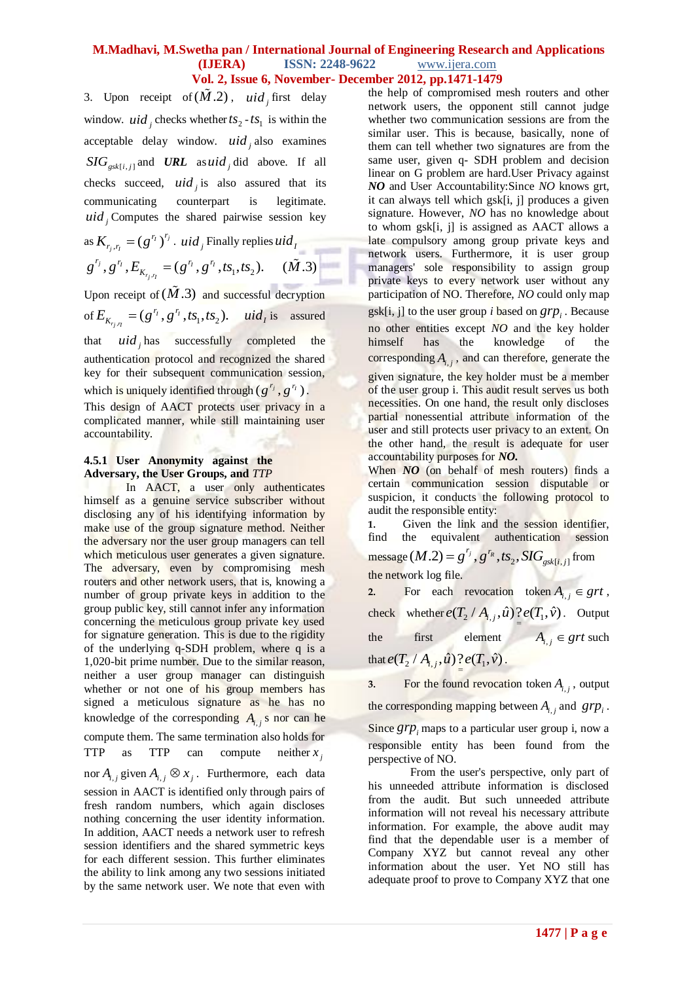3. Upon receipt of  $(\tilde{M}.2)$ , *uid* first delay window. *uid*, checks whether  $ts_2 - ts_1$  is within the acceptable delay window. *uid <sup>j</sup>* also examines  $SIG_{gsk[i,j]}$  and **URL** as uid<sub>j</sub> did above. If all checks succeed,  $uid_j$  is also assured that its communicating counterpart is legitimate.  $uid_j$  Computes the shared pairwise session key

as 
$$
K_{r_j, r_l} = (g^{r_l})^{r_j}
$$
. *uid* , Finally replies  $uid_l$   
 $g^{r_j}, g^{r_l}, E_{K_{r_j, r_l}} = (g^{r_l}, g^{r_l}, ts_1, ts_2)$ .  $(\tilde{M}.3)$ 

Upon receipt of  $(\tilde{M}.3)$  and successful decryption of  $E_{K_{r_i, \eta}} = (g^{\eta}, g^{\eta}, ts_1, ts_2)$ . *uid<sub>i</sub>* is assured that  $uid_j$  has successfully completed the authentication protocol and recognized the shared key for their subsequent communication session, which is uniquely identified through  $(g^{r_j}, g^{r_l})$ .

This design of AACT protects user privacy in a complicated manner, while still maintaining user accountability.

#### **4.5.1 User Anonymity against the Adversary, the User Groups, and** *TTP*

In AACT, a user only authenticates himself as a genuine service subscriber without disclosing any of his identifying information by make use of the group signature method. Neither the adversary nor the user group managers can tell which meticulous user generates a given signature. The adversary, even by compromising mesh routers and other network users, that is, knowing a number of group private keys in addition to the group public key, still cannot infer any information concerning the meticulous group private key used for signature generation. This is due to the rigidity of the underlying q-SDH problem, where q is a 1,020-bit prime number. Due to the similar reason, neither a user group manager can distinguish whether or not one of his group members has signed a meticulous signature as he has no knowledge of the corresponding  $A_{i,j}$  s nor can he compute them. The same termination also holds for TTP as TTP can compute  $x_j$ nor  $A_{i,j}$  given  $A_{i,j} \otimes x_j$ . Furthermore, each data session in AACT is identified only through pairs of fresh random numbers, which again discloses nothing concerning the user identity information. In addition, AACT needs a network user to refresh session identifiers and the shared symmetric keys for each different session. This further eliminates the ability to link among any two sessions initiated by the same network user. We note that even with

the help of compromised mesh routers and other network users, the opponent still cannot judge whether two communication sessions are from the similar user. This is because, basically, none of them can tell whether two signatures are from the same user, given q- SDH problem and decision linear on G problem are hard.User Privacy against *NO* and User Accountability:Since *NO* knows grt, it can always tell which gsk[i, j] produces a given signature. However, *NO* has no knowledge about to whom gsk[i, j] is assigned as AACT allows a late compulsory among group private keys and network users. Furthermore, it is user group managers' sole responsibility to assign group private keys to every network user without any participation of NO. Therefore, *NO* could only map gsk[i, j] to the user group *i* based on  $grp_i$ . Because no other entities except *NO* and the key holder himself has the knowledge of the corresponding  $A_{i,j}$ , and can therefore, generate the given signature, the key holder must be a member of the user group i. This audit result serves us both necessities. On one hand, the result only discloses partial nonessential attribute information of the user and still protects user privacy to an extent. On the other hand, the result is adequate for user accountability purposes for *NO.*

When *NO* (on behalf of mesh routers) finds a certain communication session disputable or suspicion, it conducts the following protocol to audit the responsible entity:

**1.** Given the link and the session identifier, find the equivalent authentication session message  $(M.2) = g^{r_j}, g^{r_R}, ts_2, SIG_{gsk[i,j]}$  from the network log file.

2. For each revocation token  $A_{i,j} \in grt$ , check whether  $e(T_2 / A_{i,j}, \hat{u}) \frac{?}{?} e(T_1, \hat{v})$ . Output the first element  $A_{i,j} \in grt$  such that  $e(T_2 / A_{i,j}, \hat{u}) \frac{?}{ } e(T_1, \hat{v})$ .

**3.** For the found revocation token  $A_{i,j}$ , output the corresponding mapping between  $A_{i,j}$  and  $grp_i$ . Since  $grp$ <sub>i</sub> maps to a particular user group i, now a responsible entity has been found from the perspective of NO.

From the user's perspective, only part of his unneeded attribute information is disclosed from the audit. But such unneeded attribute information will not reveal his necessary attribute information. For example, the above audit may find that the dependable user is a member of Company XYZ but cannot reveal any other information about the user. Yet NO still has adequate proof to prove to Company XYZ that one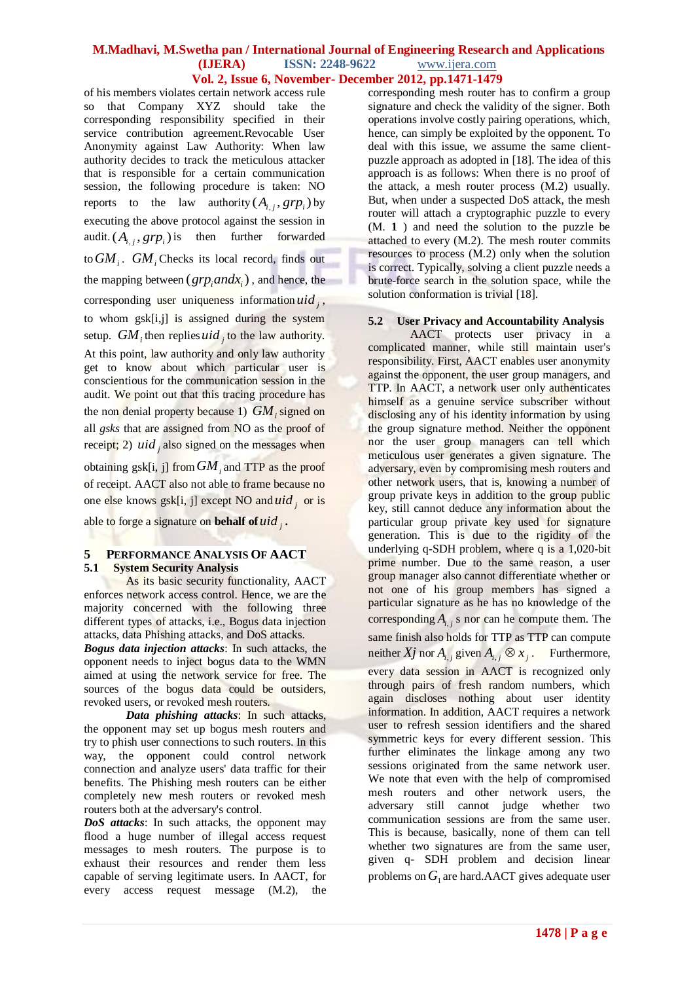of his members violates certain network access rule so that Company XYZ should take the corresponding responsibility specified in their service contribution agreement.Revocable User Anonymity against Law Authority: When law authority decides to track the meticulous attacker that is responsible for a certain communication session, the following procedure is taken: NO reports to the law authority  $(A_{i,j}, grp_i)$  by executing the above protocol against the session in audit.  $(A_{i,j}, grp_i)$  is then further forwarded to  $GM_i$ .  $GM_i$  Checks its local record, finds out the mapping between  $(grp_i and x_i)$ , and hence, the corresponding user uniqueness information  $uid_j$ , to whom gsk[i,j] is assigned during the system setup.  $GM_i$  then replies *uid* j to the law authority.

At this point, law authority and only law authority get to know about which particular user is conscientious for the communication session in the audit. We point out that this tracing procedure has the non denial property because 1) *GM<sup>i</sup>* signed on all *gsks* that are assigned from NO as the proof of receipt; 2)  $uid_j$  also signed on the messages when

obtaining  $g$ sk[i, j] from  $GM$ <sub>*i*</sub> and TTP as the proof of receipt. AACT also not able to frame because no one else knows gsk[i, j] except NO and *uid <sup>j</sup>* or is

able to forge a signature on **behalf of** *uid <sup>j</sup>* **.**

#### **5 PERFORMANCE ANALYSIS OF AACT 5.1 System Security Analysis**

As its basic security functionality, AACT enforces network access control. Hence, we are the majority concerned with the following three different types of attacks, i.e., Bogus data injection attacks, data Phishing attacks, and DoS attacks.

*Bogus data injection attacks*: In such attacks, the opponent needs to inject bogus data to the WMN aimed at using the network service for free. The sources of the bogus data could be outsiders, revoked users, or revoked mesh routers.

*Data phishing attacks*: In such attacks, the opponent may set up bogus mesh routers and try to phish user connections to such routers. In this way, the opponent could control network connection and analyze users' data traffic for their benefits. The Phishing mesh routers can be either completely new mesh routers or revoked mesh routers both at the adversary's control.

*DoS attacks*: In such attacks, the opponent may flood a huge number of illegal access request messages to mesh routers. The purpose is to exhaust their resources and render them less capable of serving legitimate users. In AACT, for every access request message (M.2), the

corresponding mesh router has to confirm a group signature and check the validity of the signer. Both operations involve costly pairing operations, which, hence, can simply be exploited by the opponent. To deal with this issue, we assume the same clientpuzzle approach as adopted in [18]. The idea of this approach is as follows: When there is no proof of the attack, a mesh router process (M.2) usually. But, when under a suspected DoS attack, the mesh router will attach a cryptographic puzzle to every (M. **1** ) and need the solution to the puzzle be attached to every (M.2). The mesh router commits resources to process (M.2) only when the solution is correct. Typically, solving a client puzzle needs a brute-force search in the solution space, while the solution conformation is trivial [18].

#### **5.2 User Privacy and Accountability Analysis**

AACT protects user privacy in a complicated manner, while still maintain user's responsibility. First, AACT enables user anonymity against the opponent, the user group managers, and TTP. In AACT, a network user only authenticates himself as a genuine service subscriber without disclosing any of his identity information by using the group signature method. Neither the opponent nor the user group managers can tell which meticulous user generates a given signature. The adversary, even by compromising mesh routers and other network users, that is, knowing a number of group private keys in addition to the group public key, still cannot deduce any information about the particular group private key used for signature generation. This is due to the rigidity of the underlying q-SDH problem, where q is a 1,020-bit prime number. Due to the same reason, a user group manager also cannot differentiate whether or not one of his group members has signed a particular signature as he has no knowledge of the corresponding  $A_{i,j}$  s nor can he compute them. The same finish also holds for TTP as TTP can compute neither  $Xj$  nor  $A_{i,j}$  given  $A_{i,j} \otimes x_j$ . Furthermore, every data session in AACT is recognized only through pairs of fresh random numbers, which again discloses nothing about user identity information. In addition, AACT requires a network user to refresh session identifiers and the shared symmetric keys for every different session. This further eliminates the linkage among any two sessions originated from the same network user. We note that even with the help of compromised mesh routers and other network users, the adversary still cannot judge whether two communication sessions are from the same user. This is because, basically, none of them can tell whether two signatures are from the same user, given q- SDH problem and decision linear problems on  $G_{\text{l}}$  are hard.AACT gives adequate user